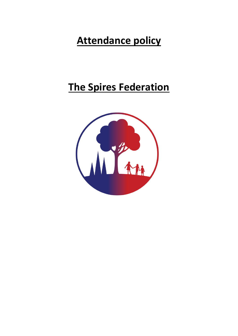# **Attendance policy**

## **The Spires Federation**

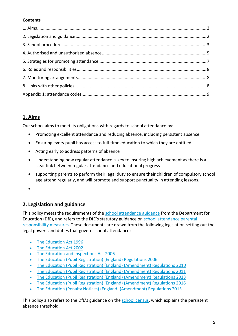## **Contents**

## **1. Aims**

Our school aims to meet its obligations with regards to school attendance by:

- Promoting excellent attendance and reducing absence, including persistent absence
- Ensuring every pupil has access to full-time education to which they are entitled
- Acting early to address patterns of absence
- Understanding how regular attendance is key to insuring high achievement as there is a clear link between regular attendance and educational progress
- supporting parents to perform their legal duty to ensure their children of compulsory school age attend regularly, and will promote and support punctuality in attending lessons.
- $\bullet$

## **2. Legislation and guidance**

This policy meets the requirements of the [school attendance guidance](https://www.gov.uk/government/publications/school-attendance) from the Department for Education (DfE), and refers to the DfE's statutory guidance on [school attendance parental](https://www.gov.uk/government/publications/parental-responsibility-measures-for-behaviour-and-attendance)  [responsibility measures.](https://www.gov.uk/government/publications/parental-responsibility-measures-for-behaviour-and-attendance) These documents are drawn from the following legislation setting out the legal powers and duties that govern school attendance:

- [The Education Act 1996](https://www.legislation.gov.uk/ukpga/1996/56/part/VI/chapter/II)
- [The Education Act 2002](http://www.legislation.gov.uk/ukpga/2002/32/part/3/chapter/3)
- [The Education and Inspections Act 2006](http://www.legislation.gov.uk/ukpga/2006/40/part/7/chapter/2/crossheading/school-attendance)
- [The Education \(Pupil Registration\) \(England\) Regulations 2006](http://www.legislation.gov.uk/uksi/2006/1751/contents/made)
- [The Education \(Pupil Registration\) \(England\) \(Amendment\) Regulations](http://www.centralbedfordshire.gov.uk/Images/amendment-regulation-2010_tcm3-8642.pdf) 2010
- [The Education \(Pupil Registration\) \(England\) \(Amendment\) Regulations 2011](http://www.legislation.gov.uk/uksi/2011/1625/made)
- [The Education \(Pupil Registration\) \(England\) \(Amendment\) Regulations 2013](http://www.legislation.gov.uk/uksi/2013/756/made)
- [The Education \(Pupil Registration\) \(England\) \(Amendment\) Regulations 2016](http://legislation.data.gov.uk/uksi/2016/792/made/data.html)
- [The Education \(Penalty Notices\) \(England\) \(Amendment\) Regulations 2013](http://www.legislation.gov.uk/uksi/2013/756/pdfs/uksiem_20130756_en.pdf)

This policy also refers to the DfE's guidance on the [school census,](https://www.gov.uk/government/publications/school-census-2017-to-2018-guide-for-schools-and-las) which explains the persistent absence threshold.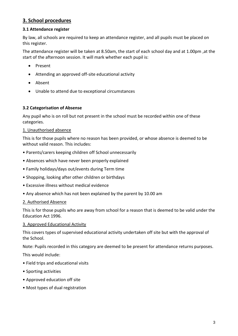## **3. School procedures**

## **3.1 Attendance register**

By law, all schools are required to keep an attendance register, and all pupils must be placed on this register.

The attendance register will be taken at 8.50am, the start of each school day and at 1.00pm ,at the start of the afternoon session. It will mark whether each pupil is:

- Present
- Attending an approved off-site educational activity
- Absent
- Unable to attend due to exceptional circumstances

#### **3.2 Categorisation of Absense**

Any pupil who is on roll but not present in the school must be recorded within one of these categories.

#### 1. Unauthorised absence

This is for those pupils where no reason has been provided, or whose absence is deemed to be without valid reason. This includes:

- Parents/carers keeping children off School unnecessarily
- Absences which have never been properly explained
- Family holidays/days out/events during Term time
- Shopping, looking after other children or birthdays
- Excessive illness without medical evidence
- Any absence which has not been explained by the parent by 10.00 am

#### 2. Authorised Absence

This is for those pupils who are away from school for a reason that is deemed to be valid under the Education Act 1996.

#### 3. Approved Educational Activity

This covers types of supervised educational activity undertaken off site but with the approval of the School.

Note: Pupils recorded in this category are deemed to be present for attendance returns purposes.

This would include:

- Field trips and educational visits
- Sporting activities
- Approved education off site
- Most types of dual registration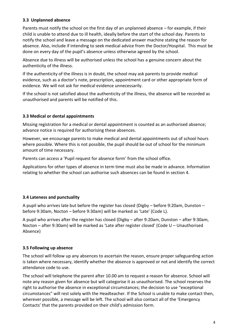## **3.3 Unplanned absence**

Parents must notify the school on the first day of an unplanned absence – for example, if their child is unable to attend due to ill health, ideally before the start of the school day. Parents to notify the school and leave a message on the dedicated answer machine stating the reason for absence. Also, include if intending to seek medical advice from the Doctor/Hospital. This must be done on every day of the pupil's absence unless otherwise agreed by the school.

Absence due to illness will be authorised unless the school has a genuine concern about the authenticity of the illness.

If the authenticity of the illness is in doubt, the school may ask parents to provide medical evidence, such as a doctor's note, prescription, appointment card or other appropriate form of evidence. We will not ask for medical evidence unnecessarily.

If the school is not satisfied about the authenticity of the illness, the absence will be recorded as unauthorised and parents will be notified of this.

## **3.3 Medical or dental appointments**

Missing registration for a medical or dental appointment is counted as an authorised absence; advance notice is required for authorising these absences.

However, we encourage parents to make medical and dental appointments out of school hours where possible. Where this is not possible, the pupil should be out of school for the minimum amount of time necessary.

Parents can access a 'Pupil request for absence form' from the school office.

Applications for other types of absence in term time must also be made in advance. Information relating to whether the school can authorise such absences can be found in section 4.

#### **3.4 Lateness and punctuality**

A pupil who arrives late but before the register has closed (Digby – before 9:20am, Dunston – before 9:30am, Nocton – before 9:30am) will be marked as 'Late' (Code L).

A pupil who arrives after the register has closed (Digby – after 9:20am, Dunston – after 9:30am, Nocton – after 9:30am) will be marked as 'Late after register closed' (Code U – Unauthorised Absence)

#### **3.5 Following up absence**

The school will follow up any absences to ascertain the reason, ensure proper safeguarding action is taken where necessary, identify whether the absence is approved or not and identify the correct attendance code to use.

The school will telephone the parent after 10.00 am to request a reason for absence. School will note any reason given for absence but will categorise it as unauthorised. The school reserves the right to authorise the absence in exceptional circumstances; the decision to use "exceptional circumstances" will rest solely with the Headteacher. If the School is unable to make contact then, wherever possible, a message will be left. The school will also contact all of the 'Emergency Contacts' that the parents provided on their child's admission form.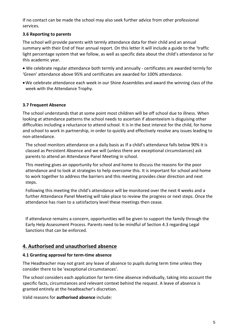If no contact can be made the school may also seek further advice from other professional services.

#### **3.6 Reporting to parents**

The school will provide parents with termly attendance data for their child and an annual summary with their End of Year annual report. On this letter it will include a guide to the 'traffic light percentage system that we follow, as well as specific data about the child's attendance so far this academic year.

 We celebrate regular attendance both termly and annually - certificates are awarded termly for 'Green' attendance above 95% and certificates are awarded for 100% attendance.

We celebrate attendance each week in our Shine Assemblies and award the winning class of the week with the Attendance Trophy.

## **3.7 Frequent Absence**

The school understands that at some point most children will be off school due to illness. When looking at attendance patterns the school needs to ascertain if absenteeism is disguising other difficulties including a reluctance to attend school. It is in the best interest for the child, for home and school to work in partnership, in order to quickly and effectively resolve any issues leading to non-attendance.

The school monitors attendance on a daily basis as If a child's attendance falls below 90% it is classed as Persistent Absence and we will (unless there are exceptional circumstances) ask parents to attend an Attendance Panel Meeting in school.

This meeting gives an opportunity for school and home to discuss the reasons for the poor attendance and to look at strategies to help overcome this. It is important for school and home to work together to address the barriers and this meeting provides clear direction and next steps.

Following this meeting the child's attendance will be monitored over the next 4 weeks and a further Attendance Panel Meeting will take place to review the progress or next steps. Once the attendance has risen to a satisfactory level these meetings then cease.

If attendance remains a concern, opportunities will be given to support the family through the Early Help Assessment Process. Parents need to be mindful of Section 4.3 regarding Legal Sanctions that can be enforced.

## **4. Authorised and unauthorised absence**

#### **4.1 Granting approval for term-time absence**

The Headteacher may not grant any leave of absence to pupils during term time unless they consider there to be 'exceptional circumstances'.

The school considers each application for term-time absence individually, taking into account the specific facts, circumstances and relevant context behind the request. A leave of absence is granted entirely at the headteacher's discretion.

Valid reasons for **authorised absence** include: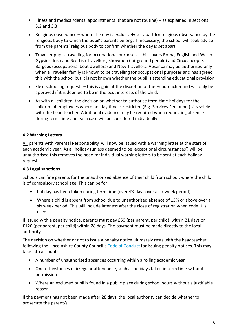- Illness and medical/dental appointments (that are not routine) as explained in sections 3.2 and 3.3
- Religious observance where the day is exclusively set apart for religious observance by the religious body to which the pupil's parents belong. If necessary, the school will seek advice from the parents' religious body to confirm whether the day is set apart
- Traveller pupils travelling for occupational purposes this covers Roma, English and Welsh Gypsies, Irish and Scottish Travellers, Showmen (fairground people) and Circus people, Bargees (occupational boat dwellers) and New Travellers. Absence may be authorised only when a Traveller family is known to be travelling for occupational purposes and has agreed this with the school but it is not known whether the pupil is attending educational provision
- Flexi-schooling requests this is again at the discretion of the Headteacher and will only be approved if it is deemed to be in the best interests of the child.
- As with all children, the decision on whether to authorise term-time holidays for the children of employees where holiday time is restricted (E.g. Services Personnel) sits solely with the head teacher. Additional evidence may be required when requesting absence during term-time and each case will be considered individually.

## **4.2 Warning Letters**

All parents with Parental Responsibility will now be issued with a warning letter at the start of each academic year. As all holiday (unless deemed to be 'exceptional circumstances') will be unauthorised this removes the need for individual warning letters to be sent at each holiday request.

## **4.3 Legal sanctions**

Schools can fine parents for the unauthorised absence of their child from school, where the child is of compulsory school age. This can be for:

- holiday has been taken during term time (over 4½ days over a six week period)
- Where a child is absent from school due to unauthorised absence of 15% or above over a six week period. This will include lateness after the close of registration when code U is used

If issued with a penalty notice, parents must pay £60 (per parent, per child) within 21 days or £120 (per parent, per child) within 28 days. The payment must be made directly to the local authority.

The decision on whether or not to issue a penalty notice ultimately rests with the headteacher, following the Lincolnshire County Council's [Code of Conduct](https://www.lincolnshire.gov.uk/schools-and-education/school-attendance-and-behaviour/school-absences/131943.article) for issuing penalty notices. This may take into account:

- A number of unauthorised absences occurring within a rolling academic year
- One-off instances of irregular attendance, such as holidays taken in term time without permission
- Where an excluded pupil is found in a public place during school hours without a justifiable reason

If the payment has not been made after 28 days, the local authority can decide whether to prosecute the parent/s.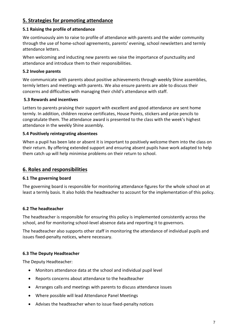## **5. Strategies for promoting attendance**

#### **5.1 Raising the profile of attendance**

We continuously aim to raise to profile of attendance with parents and the wider community through the use of home-school agreements, parents' evening, school newsletters and termly attendance letters.

When welcoming and inducting new parents we raise the importance of punctuality and attendance and introduce them to their responsibilities.

## **5.2 Involve parents**

We communicate with parents about positive achievements through weekly Shine assemblies, termly letters and meetings with parents. We also ensure parents are able to discuss their concerns and difficulties with managing their child's attendance with staff.

## **5.3 Rewards and incentives**

Letters to parents praising their support with excellent and good attendance are sent home termly. In addition, children receive certificates, House Points, stickers and prize pencils to congratulate them. The attendance award is presented to the class with the week's highest attendance in the weekly Shine assembly.

## **5.4 Positively reintegrating absentees**

When a pupil has been late or absent it is important to positively welcome them into the class on their return. By offering extended support and ensuring absent pupils have work adapted to help them catch up will help minimise problems on their return to school.

## **6. Roles and responsibilities**

#### **6.1 The governing board**

The governing board is responsible for monitoring attendance figures for the whole school on at least a termly basis. It also holds the headteacher to account for the implementation of this policy.

## **6.2 The headteacher**

The headteacher is responsible for ensuring this policy is implemented consistently across the school, and for monitoring school-level absence data and reporting it to governors.

The headteacher also supports other staff in monitoring the attendance of individual pupils and issues fixed-penalty notices, where necessary.

## **6.3 The Deputy Headteacher**

The Deputy Headteacher:

- Monitors attendance data at the school and individual pupil level
- Reports concerns about attendance to the headteacher
- Arranges calls and meetings with parents to discuss attendance issues
- Where possible will lead Attendance Panel Meetings
- Advises the headteacher when to issue fixed-penalty notices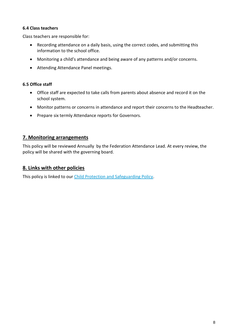## **6.4 Class teachers**

Class teachers are responsible for:

- Recording attendance on a daily basis, using the correct codes, and submitting this information to the school office.
- Monitoring a child's attendance and being aware of any patterns and/or concerns.
- Attending Attendance Panel meetings.

## **6.5 Office staff**

- Office staff are expected to take calls from parents about absence and record it on the school system.
- Monitor patterns or concerns in attendance and report their concerns to the Headteacher.
- Prepare six termly Attendance reports for Governors.

## **7. Monitoring arrangements**

This policy will be reviewed Annually by the Federation Attendance Lead. At every review, the policy will be shared with the governing board.

## **8. Links with other policies**

This policy is linked to our [Child Protection and Safeguarding Policy.](http://www.spiresfederation.co.uk/media/Final%202019-20%20LCC%20School%20Child%20Protection%20%20Safeguarding%20Policy%20Spires.doc.pdf)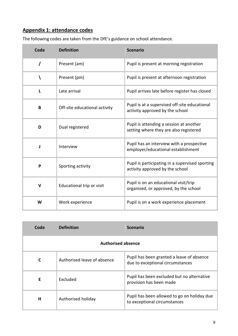## **Appendix 1: attendance codes**

|  | The following codes are taken from the DfE's guidance on school attendance. |
|--|-----------------------------------------------------------------------------|
|--|-----------------------------------------------------------------------------|

| Code         | <b>Definition</b>             | <b>Scenario</b>                                                                    |
|--------------|-------------------------------|------------------------------------------------------------------------------------|
| $\prime$     | Present (am)                  | Pupil is present at morning registration                                           |
|              | Present (pm)                  | Pupil is present at afternoon registration                                         |
| L            | Late arrival                  | Pupil arrives late before register has closed                                      |
| B            | Off-site educational activity | Pupil is at a supervised off-site educational<br>activity approved by the school   |
| D            | Dual registered               | Pupil is attending a session at another<br>setting where they are also registered  |
| J            | Interview                     | Pupil has an interview with a prospective<br>employer/educational establishment    |
| P            | Sporting activity             | Pupil is participating in a supervised sporting<br>activity approved by the school |
| $\mathsf{V}$ | Educational trip or visit     | Pupil is on an educational visit/trip<br>organised, or approved, by the school     |
| W            | Work experience               | Pupil is on a work experience placement                                            |

| Code                      | <b>Definition</b>           | <b>Scenario</b>                                                               |
|---------------------------|-----------------------------|-------------------------------------------------------------------------------|
| <b>Authorised absence</b> |                             |                                                                               |
| C                         | Authorised leave of absence | Pupil has been granted a leave of absence<br>due to exceptional circumstances |
| F                         | Excluded                    | Pupil has been excluded but no alternative<br>provision has been made         |
| н                         | Authorised holiday          | Pupil has been allowed to go on holiday due<br>to exceptional circumstances   |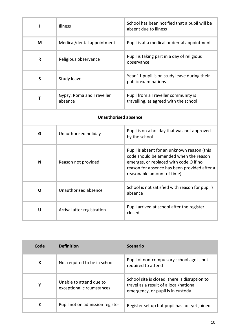| п                           | Illness                              | School has been notified that a pupil will be<br>absent due to illness                                                                                                                                        |
|-----------------------------|--------------------------------------|---------------------------------------------------------------------------------------------------------------------------------------------------------------------------------------------------------------|
| M                           | Medical/dental appointment           | Pupil is at a medical or dental appointment                                                                                                                                                                   |
| R                           | Religious observance                 | Pupil is taking part in a day of religious<br>observance                                                                                                                                                      |
| S                           | <b>Study leave</b>                   | Year 11 pupil is on study leave during their<br>public examinations                                                                                                                                           |
| Τ                           | Gypsy, Roma and Traveller<br>absence | Pupil from a Traveller community is<br>travelling, as agreed with the school                                                                                                                                  |
| <b>Unauthorised absence</b> |                                      |                                                                                                                                                                                                               |
| G                           | Unauthorised holiday                 | Pupil is on a holiday that was not approved<br>by the school                                                                                                                                                  |
| N                           | Reason not provided                  | Pupil is absent for an unknown reason (this<br>code should be amended when the reason<br>emerges, or replaced with code O if no<br>reason for absence has been provided after a<br>reasonable amount of time) |
| O                           | Unauthorised absence                 | School is not satisfied with reason for pupil's<br>absence                                                                                                                                                    |
| U                           | Arrival after registration           | Pupil arrived at school after the register<br>closed                                                                                                                                                          |

| Code | <b>Definition</b>                                    | <b>Scenario</b>                                                                                                              |
|------|------------------------------------------------------|------------------------------------------------------------------------------------------------------------------------------|
| X    | Not required to be in school                         | Pupil of non-compulsory school age is not<br>required to attend                                                              |
| Υ    | Unable to attend due to<br>exceptional circumstances | School site is closed, there is disruption to<br>travel as a result of a local/national<br>emergency, or pupil is in custody |
| z    | Pupil not on admission register                      | Register set up but pupil has not yet joined                                                                                 |